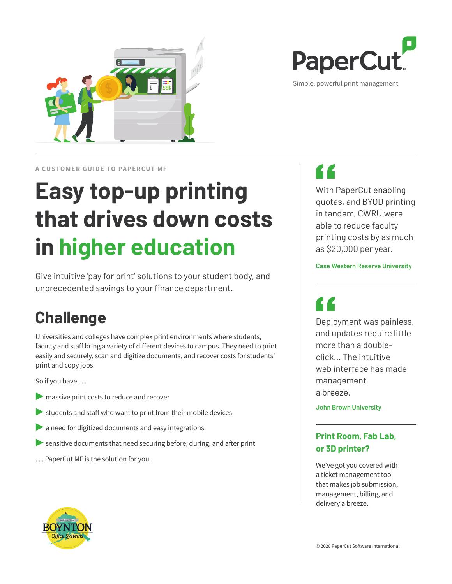



Simple, powerful print management

**A CUSTOMER GUIDE TO PAPERCUT ME** 

# **Easy top-up printing that drives down costs in higher education**

Give intuitive 'pay for print' solutions to your student body, and unprecedented savings to your finance department.

## **Challenge**

Universities and colleges have complex print environments where students, faculty and staff bring a variety of different devices to campus. They need to print easily and securely, scan and digitize documents, and recover costs for students' print and copy jobs.

So if you have . . .

- **massive print costs to reduce and recover**
- **▶** students and staff who want to print from their mobile devices
- **▶** a need for digitized documents and easy integrations
- **•** sensitive documents that need securing before, during, and after print
- . . . PaperCut MF is the solution for you.

With PaperCut enabling quotas, and BYOD printing in tandem, CWRU were able to reduce faculty printing costs by as much as \$20,000 per year.

#### **Case Western Reserve University**

Deployment was painless, and updates require little more than a doubleclick… The intuitive web interface has made management a breeze.

**John Brown University**

#### **Print Room, Fab Lab, or 3D printer?**

We've got you covered with a ticket management tool that makes job submission, management, billing, and delivery a breeze.